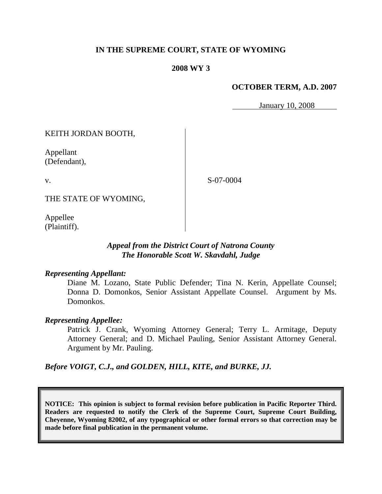### **IN THE SUPREME COURT, STATE OF WYOMING**

### **2008 WY 3**

### **OCTOBER TERM, A.D. 2007**

January 10, 2008

KEITH JORDAN BOOTH,

Appellant (Defendant),

v.

S-07-0004

THE STATE OF WYOMING,

Appellee (Plaintiff).

## *Appeal from the District Court of Natrona County The Honorable Scott W. Skavdahl, Judge*

### *Representing Appellant:*

Diane M. Lozano, State Public Defender; Tina N. Kerin, Appellate Counsel; Donna D. Domonkos, Senior Assistant Appellate Counsel. Argument by Ms. Domonkos.

### *Representing Appellee:*

Patrick J. Crank, Wyoming Attorney General; Terry L. Armitage, Deputy Attorney General; and D. Michael Pauling, Senior Assistant Attorney General. Argument by Mr. Pauling.

*Before VOIGT, C.J., and GOLDEN, HILL, KITE, and BURKE, JJ.*

**NOTICE: This opinion is subject to formal revision before publication in Pacific Reporter Third. Readers are requested to notify the Clerk of the Supreme Court, Supreme Court Building, Cheyenne, Wyoming 82002, of any typographical or other formal errors so that correction may be made before final publication in the permanent volume.**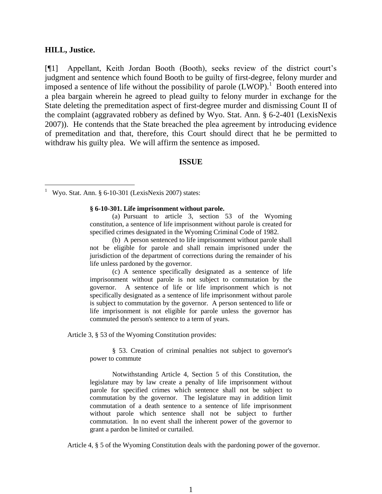#### **HILL, Justice.**

[¶1] Appellant, Keith Jordan Booth (Booth), seeks review of the district court's judgment and sentence which found Booth to be guilty of first-degree, felony murder and imposed a sentence of life without the possibility of parole  $(LWOP)$ .<sup>1</sup> Booth entered into a plea bargain wherein he agreed to plead guilty to felony murder in exchange for the State deleting the premeditation aspect of first-degree murder and dismissing Count II of the complaint (aggravated robbery as defined by Wyo. Stat. Ann. § 6-2-401 (LexisNexis 2007)). He contends that the State breached the plea agreement by introducing evidence of premeditation and that, therefore, this Court should direct that he be permitted to withdraw his guilty plea. We will affirm the sentence as imposed.

#### **ISSUE**

#### **§ 6-10-301. Life imprisonment without parole.**

(a) Pursuant to article 3, section 53 of the Wyoming constitution, a sentence of life imprisonment without parole is created for specified crimes designated in the Wyoming Criminal Code of 1982.

(b) A person sentenced to life imprisonment without parole shall not be eligible for parole and shall remain imprisoned under the jurisdiction of the department of corrections during the remainder of his life unless pardoned by the governor.

(c) A sentence specifically designated as a sentence of life imprisonment without parole is not subject to commutation by the governor. A sentence of life or life imprisonment which is not specifically designated as a sentence of life imprisonment without parole is subject to commutation by the governor. A person sentenced to life or life imprisonment is not eligible for parole unless the governor has commuted the person's sentence to a term of years.

Article 3, § 53 of the Wyoming Constitution provides:

§ 53. Creation of criminal penalties not subject to governor's power to commute

Notwithstanding Article 4, Section 5 of this Constitution, the legislature may by law create a penalty of life imprisonment without parole for specified crimes which sentence shall not be subject to commutation by the governor. The legislature may in addition limit commutation of a death sentence to a sentence of life imprisonment without parole which sentence shall not be subject to further commutation. In no event shall the inherent power of the governor to grant a pardon be limited or curtailed.

Article 4, § 5 of the Wyoming Constitution deals with the pardoning power of the governor.

<sup>1</sup> Wyo. Stat. Ann. § 6-10-301 (LexisNexis 2007) states: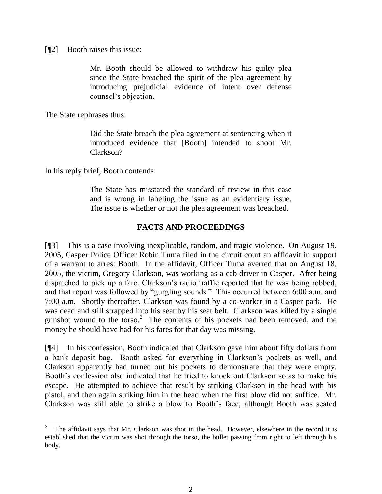[¶2] Booth raises this issue:

Mr. Booth should be allowed to withdraw his guilty plea since the State breached the spirit of the plea agreement by introducing prejudicial evidence of intent over defense counsel's objection.

The State rephrases thus:

Did the State breach the plea agreement at sentencing when it introduced evidence that [Booth] intended to shoot Mr. Clarkson?

In his reply brief, Booth contends:

The State has misstated the standard of review in this case and is wrong in labeling the issue as an evidentiary issue. The issue is whether or not the plea agreement was breached.

### **FACTS AND PROCEEDINGS**

[¶3] This is a case involving inexplicable, random, and tragic violence. On August 19, 2005, Casper Police Officer Robin Tuma filed in the circuit court an affidavit in support of a warrant to arrest Booth. In the affidavit, Officer Tuma averred that on August 18, 2005, the victim, Gregory Clarkson, was working as a cab driver in Casper. After being dispatched to pick up a fare, Clarkson's radio traffic reported that he was being robbed, and that report was followed by "gurgling sounds." This occurred between 6:00 a.m. and 7:00 a.m. Shortly thereafter, Clarkson was found by a co-worker in a Casper park. He was dead and still strapped into his seat by his seat belt. Clarkson was killed by a single gunshot wound to the torso.<sup>2</sup> The contents of his pockets had been removed, and the money he should have had for his fares for that day was missing.

[¶4] In his confession, Booth indicated that Clarkson gave him about fifty dollars from a bank deposit bag. Booth asked for everything in Clarkson's pockets as well, and Clarkson apparently had turned out his pockets to demonstrate that they were empty. Booth's confession also indicated that he tried to knock out Clarkson so as to make his escape. He attempted to achieve that result by striking Clarkson in the head with his pistol, and then again striking him in the head when the first blow did not suffice. Mr. Clarkson was still able to strike a blow to Booth's face, although Booth was seated

<sup>2</sup> The affidavit says that Mr. Clarkson was shot in the head. However, elsewhere in the record it is established that the victim was shot through the torso, the bullet passing from right to left through his body.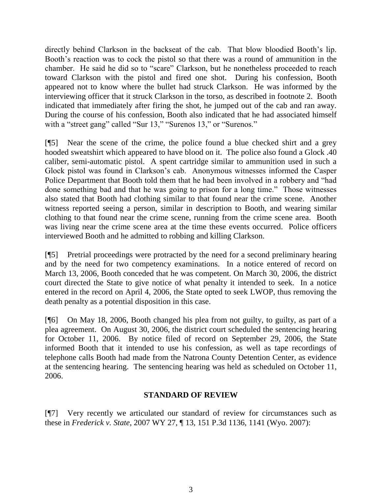directly behind Clarkson in the backseat of the cab. That blow bloodied Booth's lip. Booth's reaction was to cock the pistol so that there was a round of ammunition in the chamber. He said he did so to "scare" Clarkson, but he nonetheless proceeded to reach toward Clarkson with the pistol and fired one shot. During his confession, Booth appeared not to know where the bullet had struck Clarkson. He was informed by the interviewing officer that it struck Clarkson in the torso, as described in footnote 2. Booth indicated that immediately after firing the shot, he jumped out of the cab and ran away. During the course of his confession, Booth also indicated that he had associated himself with a "street gang" called "Sur 13," "Surenos 13," or "Surenos."

[¶5] Near the scene of the crime, the police found a blue checked shirt and a grey hooded sweatshirt which appeared to have blood on it. The police also found a Glock .40 caliber, semi-automatic pistol. A spent cartridge similar to ammunition used in such a Glock pistol was found in Clarkson's cab. Anonymous witnesses informed the Casper Police Department that Booth told them that he had been involved in a robbery and "had done something bad and that he was going to prison for a long time." Those witnesses also stated that Booth had clothing similar to that found near the crime scene. Another witness reported seeing a person, similar in description to Booth, and wearing similar clothing to that found near the crime scene, running from the crime scene area. Booth was living near the crime scene area at the time these events occurred. Police officers interviewed Booth and he admitted to robbing and killing Clarkson.

[¶5] Pretrial proceedings were protracted by the need for a second preliminary hearing and by the need for two competency examinations. In a notice entered of record on March 13, 2006, Booth conceded that he was competent. On March 30, 2006, the district court directed the State to give notice of what penalty it intended to seek. In a notice entered in the record on April 4, 2006, the State opted to seek LWOP, thus removing the death penalty as a potential disposition in this case.

[¶6] On May 18, 2006, Booth changed his plea from not guilty, to guilty, as part of a plea agreement. On August 30, 2006, the district court scheduled the sentencing hearing for October 11, 2006. By notice filed of record on September 29, 2006, the State informed Booth that it intended to use his confession, as well as tape recordings of telephone calls Booth had made from the Natrona County Detention Center, as evidence at the sentencing hearing. The sentencing hearing was held as scheduled on October 11, 2006.

### **STANDARD OF REVIEW**

[¶7] Very recently we articulated our standard of review for circumstances such as these in *Frederick v. State*, 2007 WY 27, ¶ 13, 151 P.3d 1136, 1141 (Wyo. 2007):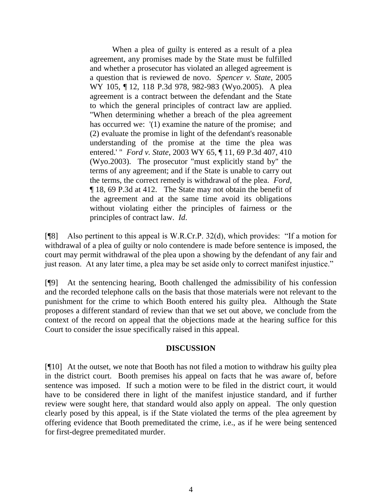When a plea of guilty is entered as a result of a plea agreement, any promises made by the State must be fulfilled and whether a prosecutor has violated an alleged agreement is a question that is reviewed de novo. *Spencer v. State*, 2005 WY 105, ¶ 12, 118 P.3d 978, 982-983 (Wyo.2005). A plea agreement is a contract between the defendant and the State to which the general principles of contract law are applied. "When determining whether a breach of the plea agreement has occurred we:  $(1)$  examine the nature of the promise; and (2) evaluate the promise in light of the defendant's reasonable understanding of the promise at the time the plea was entered.' " *Ford v. State*, 2003 WY 65, ¶ 11, 69 P.3d 407, 410 (Wyo.2003). The prosecutor "must explicitly stand by" the terms of any agreement; and if the State is unable to carry out the terms, the correct remedy is withdrawal of the plea. *Ford*, ¶ 18, 69 P.3d at 412. The State may not obtain the benefit of the agreement and at the same time avoid its obligations without violating either the principles of fairness or the principles of contract law. *Id*.

[¶8] Also pertinent to this appeal is W.R.Cr.P. 32(d), which provides: "If a motion for withdrawal of a plea of guilty or nolo contendere is made before sentence is imposed, the court may permit withdrawal of the plea upon a showing by the defendant of any fair and just reason. At any later time, a plea may be set aside only to correct manifest injustice."

[¶9] At the sentencing hearing, Booth challenged the admissibility of his confession and the recorded telephone calls on the basis that those materials were not relevant to the punishment for the crime to which Booth entered his guilty plea. Although the State proposes a different standard of review than that we set out above, we conclude from the context of the record on appeal that the objections made at the hearing suffice for this Court to consider the issue specifically raised in this appeal.

### **DISCUSSION**

[¶10] At the outset, we note that Booth has not filed a motion to withdraw his guilty plea in the district court. Booth premises his appeal on facts that he was aware of, before sentence was imposed. If such a motion were to be filed in the district court, it would have to be considered there in light of the manifest injustice standard, and if further review were sought here, that standard would also apply on appeal. The only question clearly posed by this appeal, is if the State violated the terms of the plea agreement by offering evidence that Booth premeditated the crime, i.e., as if he were being sentenced for first-degree premeditated murder.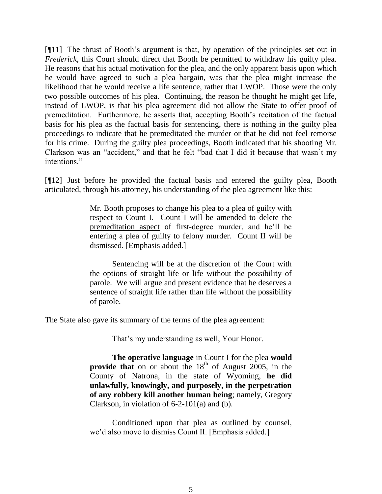[¶11] The thrust of Booth's argument is that, by operation of the principles set out in *Frederick*, this Court should direct that Booth be permitted to withdraw his guilty plea. He reasons that his actual motivation for the plea, and the only apparent basis upon which he would have agreed to such a plea bargain, was that the plea might increase the likelihood that he would receive a life sentence, rather that LWOP. Those were the only two possible outcomes of his plea. Continuing, the reason he thought he might get life, instead of LWOP, is that his plea agreement did not allow the State to offer proof of premeditation. Furthermore, he asserts that, accepting Booth's recitation of the factual basis for his plea as the factual basis for sentencing, there is nothing in the guilty plea proceedings to indicate that he premeditated the murder or that he did not feel remorse for his crime. During the guilty plea proceedings, Booth indicated that his shooting Mr. Clarkson was an "accident," and that he felt "bad that I did it because that wasn't my intentions."

[¶12] Just before he provided the factual basis and entered the guilty plea, Booth articulated, through his attorney, his understanding of the plea agreement like this:

> Mr. Booth proposes to change his plea to a plea of guilty with respect to Count I. Count I will be amended to delete the premeditation aspect of first-degree murder, and he'll be entering a plea of guilty to felony murder. Count II will be dismissed. [Emphasis added.]

> Sentencing will be at the discretion of the Court with the options of straight life or life without the possibility of parole. We will argue and present evidence that he deserves a sentence of straight life rather than life without the possibility of parole.

The State also gave its summary of the terms of the plea agreement:

That's my understanding as well, Your Honor.

**The operative language** in Count I for the plea **would provide that** on or about the  $18<sup>th</sup>$  of August 2005, in the County of Natrona, in the state of Wyoming, **he did unlawfully, knowingly, and purposely, in the perpetration of any robbery kill another human being**; namely, Gregory Clarkson, in violation of 6-2-101(a) and (b).

Conditioned upon that plea as outlined by counsel, we'd also move to dismiss Count II. [Emphasis added.]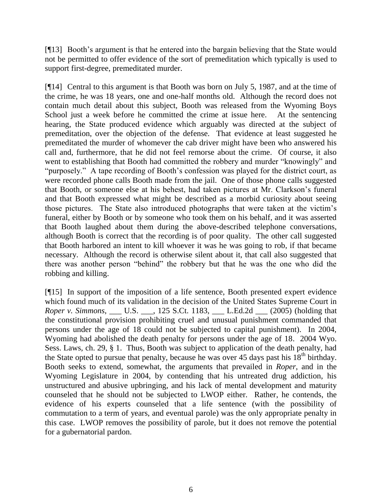[¶13] Booth's argument is that he entered into the bargain believing that the State would not be permitted to offer evidence of the sort of premeditation which typically is used to support first-degree, premeditated murder.

[¶14] Central to this argument is that Booth was born on July 5, 1987, and at the time of the crime, he was 18 years, one and one-half months old. Although the record does not contain much detail about this subject, Booth was released from the Wyoming Boys School just a week before he committed the crime at issue here. At the sentencing hearing, the State produced evidence which arguably was directed at the subject of premeditation, over the objection of the defense. That evidence at least suggested he premeditated the murder of whomever the cab driver might have been who answered his call and, furthermore, that he did not feel remorse about the crime. Of course, it also went to establishing that Booth had committed the robbery and murder "knowingly" and "purposely." A tape recording of Booth's confession was played for the district court, as were recorded phone calls Booth made from the jail. One of those phone calls suggested that Booth, or someone else at his behest, had taken pictures at Mr. Clarkson's funeral and that Booth expressed what might be described as a morbid curiosity about seeing those pictures. The State also introduced photographs that were taken at the victim's funeral, either by Booth or by someone who took them on his behalf, and it was asserted that Booth laughed about them during the above-described telephone conversations, although Booth is correct that the recording is of poor quality. The other call suggested that Booth harbored an intent to kill whoever it was he was going to rob, if that became necessary. Although the record is otherwise silent about it, that call also suggested that there was another person "behind" the robbery but that he was the one who did the robbing and killing.

[¶15] In support of the imposition of a life sentence, Booth presented expert evidence which found much of its validation in the decision of the United States Supreme Court in *Roper v. Simmons*, \_\_\_ U.S. \_\_\_, 125 S.Ct. 1183, \_\_\_ L.Ed.2d \_\_\_ (2005) (holding that the constitutional provision prohibiting cruel and unusual punishment commanded that persons under the age of 18 could not be subjected to capital punishment). In 2004, Wyoming had abolished the death penalty for persons under the age of 18. 2004 Wyo. Sess. Laws, ch. 29, § 1. Thus, Booth was subject to application of the death penalty, had the State opted to pursue that penalty, because he was over 45 days past his  $18<sup>th</sup>$  birthday. Booth seeks to extend, somewhat, the arguments that prevailed in *Roper*, and in the Wyoming Legislature in 2004, by contending that his untreated drug addiction, his unstructured and abusive upbringing, and his lack of mental development and maturity counseled that he should not be subjected to LWOP either. Rather, he contends, the evidence of his experts counseled that a life sentence (with the possibility of commutation to a term of years, and eventual parole) was the only appropriate penalty in this case. LWOP removes the possibility of parole, but it does not remove the potential for a gubernatorial pardon.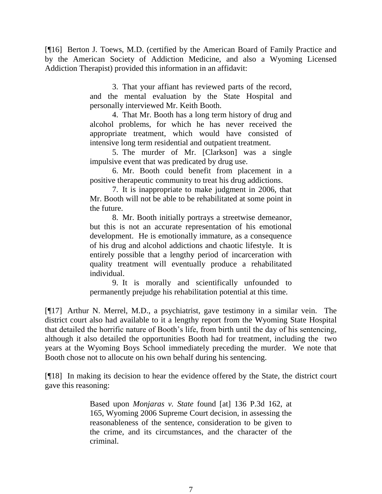[¶16] Berton J. Toews, M.D. (certified by the American Board of Family Practice and by the American Society of Addiction Medicine, and also a Wyoming Licensed Addiction Therapist) provided this information in an affidavit:

> 3. That your affiant has reviewed parts of the record, and the mental evaluation by the State Hospital and personally interviewed Mr. Keith Booth.

> 4. That Mr. Booth has a long term history of drug and alcohol problems, for which he has never received the appropriate treatment, which would have consisted of intensive long term residential and outpatient treatment.

> 5. The murder of Mr. [Clarkson] was a single impulsive event that was predicated by drug use.

> 6. Mr. Booth could benefit from placement in a positive therapeutic community to treat his drug addictions.

> 7. It is inappropriate to make judgment in 2006, that Mr. Booth will not be able to be rehabilitated at some point in the future.

> 8. Mr. Booth initially portrays a streetwise demeanor, but this is not an accurate representation of his emotional development. He is emotionally immature, as a consequence of his drug and alcohol addictions and chaotic lifestyle. It is entirely possible that a lengthy period of incarceration with quality treatment will eventually produce a rehabilitated individual.

> 9. It is morally and scientifically unfounded to permanently prejudge his rehabilitation potential at this time.

[¶17] Arthur N. Merrel, M.D., a psychiatrist, gave testimony in a similar vein. The district court also had available to it a lengthy report from the Wyoming State Hospital that detailed the horrific nature of Booth's life, from birth until the day of his sentencing, although it also detailed the opportunities Booth had for treatment, including the two years at the Wyoming Boys School immediately preceding the murder. We note that Booth chose not to allocute on his own behalf during his sentencing.

[¶18] In making its decision to hear the evidence offered by the State, the district court gave this reasoning:

> Based upon *Monjaras v. State* found [at] 136 P.3d 162, at 165, Wyoming 2006 Supreme Court decision, in assessing the reasonableness of the sentence, consideration to be given to the crime, and its circumstances, and the character of the criminal.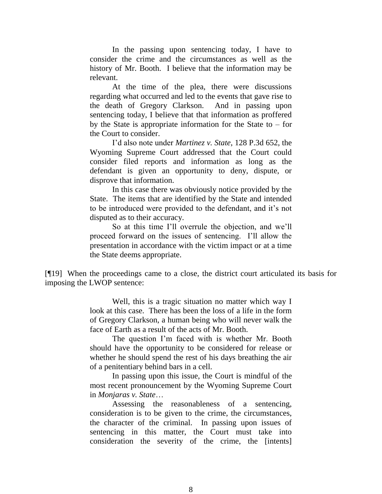In the passing upon sentencing today, I have to consider the crime and the circumstances as well as the history of Mr. Booth. I believe that the information may be relevant.

At the time of the plea, there were discussions regarding what occurred and led to the events that gave rise to the death of Gregory Clarkson. And in passing upon sentencing today, I believe that that information as proffered by the State is appropriate information for the State to  $-$  for the Court to consider.

I'd also note under *Martinez v. State*, 128 P.3d 652, the Wyoming Supreme Court addressed that the Court could consider filed reports and information as long as the defendant is given an opportunity to deny, dispute, or disprove that information.

In this case there was obviously notice provided by the State. The items that are identified by the State and intended to be introduced were provided to the defendant, and it's not disputed as to their accuracy.

So at this time I'll overrule the objection, and we'll proceed forward on the issues of sentencing. I'll allow the presentation in accordance with the victim impact or at a time the State deems appropriate.

[¶19] When the proceedings came to a close, the district court articulated its basis for imposing the LWOP sentence:

> Well, this is a tragic situation no matter which way I look at this case. There has been the loss of a life in the form of Gregory Clarkson, a human being who will never walk the face of Earth as a result of the acts of Mr. Booth.

> The question I'm faced with is whether Mr. Booth should have the opportunity to be considered for release or whether he should spend the rest of his days breathing the air of a penitentiary behind bars in a cell.

> In passing upon this issue, the Court is mindful of the most recent pronouncement by the Wyoming Supreme Court in *Monjaras v. State*…

> Assessing the reasonableness of a sentencing, consideration is to be given to the crime, the circumstances, the character of the criminal. In passing upon issues of sentencing in this matter, the Court must take into consideration the severity of the crime, the [intents]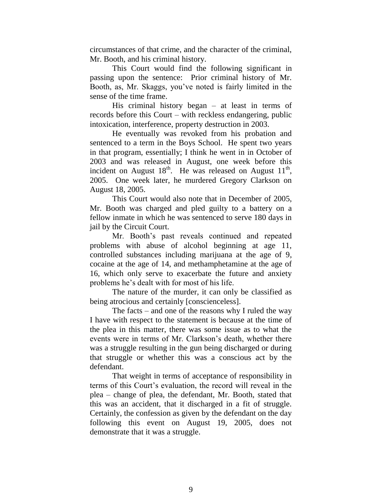circumstances of that crime, and the character of the criminal, Mr. Booth, and his criminal history.

This Court would find the following significant in passing upon the sentence: Prior criminal history of Mr. Booth, as, Mr. Skaggs, you've noted is fairly limited in the sense of the time frame.

His criminal history began  $-$  at least in terms of records before this Court – with reckless endangering, public intoxication, interference, property destruction in 2003.

He eventually was revoked from his probation and sentenced to a term in the Boys School. He spent two years in that program, essentially; I think he went in in October of 2003 and was released in August, one week before this incident on August  $18<sup>th</sup>$ . He was released on August  $11<sup>th</sup>$ , 2005. One week later, he murdered Gregory Clarkson on August 18, 2005.

This Court would also note that in December of 2005, Mr. Booth was charged and pled guilty to a battery on a fellow inmate in which he was sentenced to serve 180 days in jail by the Circuit Court.

Mr. Booth's past reveals continued and repeated problems with abuse of alcohol beginning at age 11, controlled substances including marijuana at the age of 9, cocaine at the age of 14, and methamphetamine at the age of 16, which only serve to exacerbate the future and anxiety problems he's dealt with for most of his life.

The nature of the murder, it can only be classified as being atrocious and certainly [conscienceless].

The facts – and one of the reasons why I ruled the way I have with respect to the statement is because at the time of the plea in this matter, there was some issue as to what the events were in terms of Mr. Clarkson's death, whether there was a struggle resulting in the gun being discharged or during that struggle or whether this was a conscious act by the defendant.

That weight in terms of acceptance of responsibility in terms of this Court's evaluation, the record will reveal in the plea – change of plea, the defendant, Mr. Booth, stated that this was an accident, that it discharged in a fit of struggle. Certainly, the confession as given by the defendant on the day following this event on August 19, 2005, does not demonstrate that it was a struggle.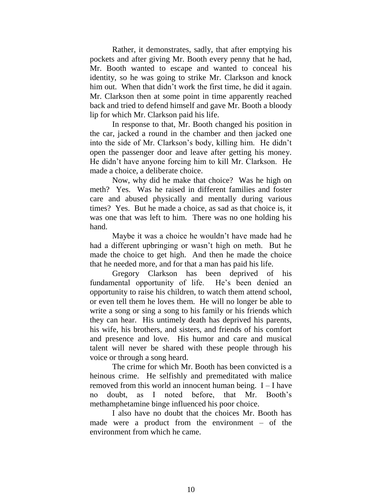Rather, it demonstrates, sadly, that after emptying his pockets and after giving Mr. Booth every penny that he had, Mr. Booth wanted to escape and wanted to conceal his identity, so he was going to strike Mr. Clarkson and knock him out. When that didn't work the first time, he did it again. Mr. Clarkson then at some point in time apparently reached back and tried to defend himself and gave Mr. Booth a bloody lip for which Mr. Clarkson paid his life.

In response to that, Mr. Booth changed his position in the car, jacked a round in the chamber and then jacked one into the side of Mr. Clarkson's body, killing him. He didn't open the passenger door and leave after getting his money. He didn't have anyone forcing him to kill Mr. Clarkson. He made a choice, a deliberate choice.

Now, why did he make that choice? Was he high on meth? Yes. Was he raised in different families and foster care and abused physically and mentally during various times? Yes. But he made a choice, as sad as that choice is, it was one that was left to him. There was no one holding his hand.

Maybe it was a choice he wouldn't have made had he had a different upbringing or wasn't high on meth. But he made the choice to get high. And then he made the choice that he needed more, and for that a man has paid his life.

Gregory Clarkson has been deprived of his fundamental opportunity of life. He's been denied an opportunity to raise his children, to watch them attend school, or even tell them he loves them. He will no longer be able to write a song or sing a song to his family or his friends which they can hear. His untimely death has deprived his parents, his wife, his brothers, and sisters, and friends of his comfort and presence and love. His humor and care and musical talent will never be shared with these people through his voice or through a song heard.

The crime for which Mr. Booth has been convicted is a heinous crime. He selfishly and premeditated with malice removed from this world an innocent human being. I – I have no doubt, as I noted before, that Mr. Booth's methamphetamine binge influenced his poor choice.

I also have no doubt that the choices Mr. Booth has made were a product from the environment – of the environment from which he came.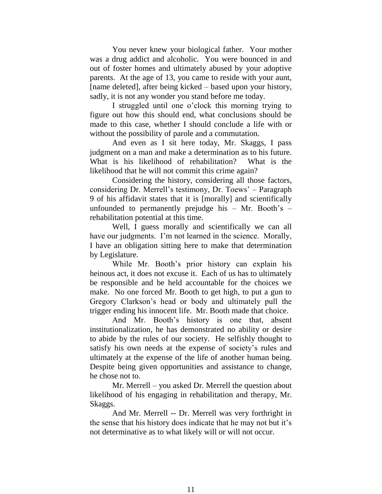You never knew your biological father. Your mother was a drug addict and alcoholic. You were bounced in and out of foster homes and ultimately abused by your adoptive parents. At the age of 13, you came to reside with your aunt, [name deleted], after being kicked – based upon your history, sadly, it is not any wonder you stand before me today.

I struggled until one o'clock this morning trying to figure out how this should end, what conclusions should be made to this case, whether I should conclude a life with or without the possibility of parole and a commutation.

And even as I sit here today, Mr. Skaggs, I pass judgment on a man and make a determination as to his future. What is his likelihood of rehabilitation? What is the likelihood that he will not commit this crime again?

Considering the history, considering all those factors, considering Dr. Merrell's testimony, Dr. Toews' – Paragraph 9 of his affidavit states that it is [morally] and scientifically unfounded to permanently prejudge his  $-$  Mr. Booth's  $$ rehabilitation potential at this time.

Well, I guess morally and scientifically we can all have our judgments. I'm not learned in the science. Morally, I have an obligation sitting here to make that determination by Legislature.

While Mr. Booth's prior history can explain his heinous act, it does not excuse it. Each of us has to ultimately be responsible and be held accountable for the choices we make. No one forced Mr. Booth to get high, to put a gun to Gregory Clarkson's head or body and ultimately pull the trigger ending his innocent life. Mr. Booth made that choice.

And Mr. Booth's history is one that, absent institutionalization, he has demonstrated no ability or desire to abide by the rules of our society. He selfishly thought to satisfy his own needs at the expense of society's rules and ultimately at the expense of the life of another human being. Despite being given opportunities and assistance to change, he chose not to.

Mr. Merrell – you asked Dr. Merrell the question about likelihood of his engaging in rehabilitation and therapy, Mr. Skaggs.

And Mr. Merrell -- Dr. Merrell was very forthright in the sense that his history does indicate that he may not but it's not determinative as to what likely will or will not occur.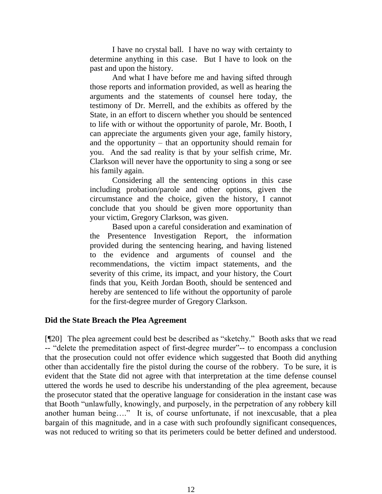I have no crystal ball. I have no way with certainty to determine anything in this case. But I have to look on the past and upon the history.

And what I have before me and having sifted through those reports and information provided, as well as hearing the arguments and the statements of counsel here today, the testimony of Dr. Merrell, and the exhibits as offered by the State, in an effort to discern whether you should be sentenced to life with or without the opportunity of parole, Mr. Booth, I can appreciate the arguments given your age, family history, and the opportunity – that an opportunity should remain for you. And the sad reality is that by your selfish crime, Mr. Clarkson will never have the opportunity to sing a song or see his family again.

Considering all the sentencing options in this case including probation/parole and other options, given the circumstance and the choice, given the history, I cannot conclude that you should be given more opportunity than your victim, Gregory Clarkson, was given.

Based upon a careful consideration and examination of the Presentence Investigation Report, the information provided during the sentencing hearing, and having listened to the evidence and arguments of counsel and the recommendations, the victim impact statements, and the severity of this crime, its impact, and your history, the Court finds that you, Keith Jordan Booth, should be sentenced and hereby are sentenced to life without the opportunity of parole for the first-degree murder of Gregory Clarkson.

### **Did the State Breach the Plea Agreement**

[¶20] The plea agreement could best be described as "sketchy." Booth asks that we read -- "delete the premeditation aspect of first-degree murder"-- to encompass a conclusion that the prosecution could not offer evidence which suggested that Booth did anything other than accidentally fire the pistol during the course of the robbery. To be sure, it is evident that the State did not agree with that interpretation at the time defense counsel uttered the words he used to describe his understanding of the plea agreement, because the prosecutor stated that the operative language for consideration in the instant case was that Booth "unlawfully, knowingly, and purposely, in the perpetration of any robbery kill another human being…." It is, of course unfortunate, if not inexcusable, that a plea bargain of this magnitude, and in a case with such profoundly significant consequences, was not reduced to writing so that its perimeters could be better defined and understood.